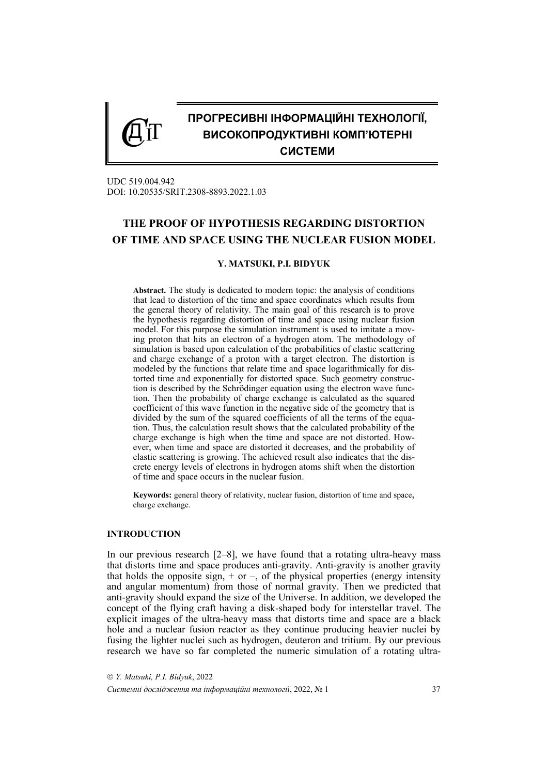# **ПРОГРЕСИВНІ ІНФОРМАЦІЙНІ ТЕХНОЛОГІЇ, ВИСОКОПРОДУКТИВНІ КОМП'ЮТЕРНІ СИСТЕМИ**

UDC 519.004.942 DOI: 10.20535/SRIT.2308-8893.2022.1.03

 $C$ IT

## **THE PROOF OF HYPOTHESIS REGARDING DISTORTION OF TIME AND SPACE USING THE NUCLEAR FUSION MODEL**

#### **Y. MATSUKI, P.I. BIDYUK**

**Abstract.** The study is dedicated to modern topic: the analysis of conditions that lead to distortion of the time and space coordinates which results from the general theory of relativity. The main goal of this research is to prove the hypothesis regarding distortion of time and space using nuclear fusion model. For this purpose the simulation instrument is used to imitate a moving proton that hits an electron of a hydrogen atom. The methodology of simulation is based upon calculation of the probabilities of elastic scattering and charge exchange of a proton with a target electron. The distortion is modeled by the functions that relate time and space logarithmically for distorted time and exponentially for distorted space. Such geometry construction is described by the Schrödinger equation using the electron wave function. Then the probability of charge exchange is calculated as the squared coefficient of this wave function in the negative side of the geometry that is divided by the sum of the squared coefficients of all the terms of the equation. Thus, the calculation result shows that the calculated probability of the charge exchange is high when the time and space are not distorted. However, when time and space are distorted it decreases, and the probability of elastic scattering is growing. The achieved result also indicates that the discrete energy levels of electrons in hydrogen atoms shift when the distortion of time and space occurs in the nuclear fusion.

**Keywords:** general theory of relativity, nuclear fusion, distortion of time and space, charge exchange.

#### **INTRODUCTION**

In our previous research  $[2-8]$ , we have found that a rotating ultra-heavy mass that distorts time and space produces anti-gravity. Anti-gravity is another gravity that holds the opposite sign,  $+$  or  $-$ , of the physical properties (energy intensity and angular momentum) from those of normal gravity. Then we predicted that anti-gravity should expand the size of the Universe. In addition, we developed the concept of the flying craft having a disk-shaped body for interstellar travel. The explicit images of the ultra-heavy mass that distorts time and space are a black hole and a nuclear fusion reactor as they continue producing heavier nuclei by fusing the lighter nuclei such as hydrogen, deuteron and tritium. By our previous research we have so far completed the numeric simulation of a rotating ultra-

 *Y. Matsuki, P.I. Bidyuk*, 2022 *Системні дослідження та інформаційні технології*, 2022, № 1 37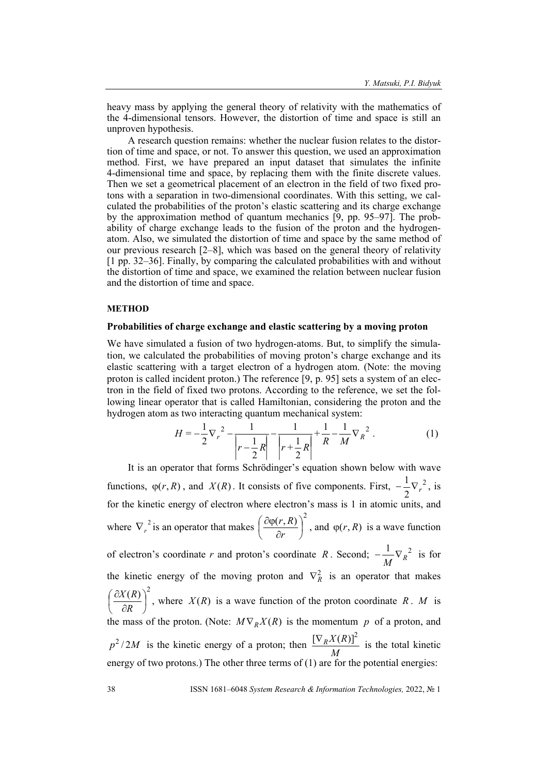heavy mass by applying the general theory of relativity with the mathematics of the 4-dimensional tensors. However, the distortion of time and space is still an unproven hypothesis.

A research question remains: whether the nuclear fusion relates to the distortion of time and space, or not. To answer this question, we used an approximation method. First, we have prepared an input dataset that simulates the infinite 4-dimensional time and space, by replacing them with the finite discrete values. Then we set a geometrical placement of an electron in the field of two fixed protons with a separation in two-dimensional coordinates. With this setting, we calculated the probabilities of the proton's elastic scattering and its charge exchange by the approximation method of quantum mechanics [9, pp. 95–97]. The probability of charge exchange leads to the fusion of the proton and the hydrogenatom. Also, we simulated the distortion of time and space by the same method of our previous research [2–8], which was based on the general theory of relativity [1 pp. 32–36]. Finally, by comparing the calculated probabilities with and without the distortion of time and space, we examined the relation between nuclear fusion and the distortion of time and space.

## **METHOD**

## **Probabilities of charge exchange and elastic scattering by a moving proton**

We have simulated a fusion of two hydrogen-atoms. But, to simplify the simulation, we calculated the probabilities of moving proton's charge exchange and its elastic scattering with a target electron of a hydrogen atom. (Note: the moving proton is called incident proton.) The reference [9, p. 95] sets a system of an electron in the field of fixed two protons. According to the reference, we set the following linear operator that is called Hamiltonian, considering the proton and the hydrogen atom as two interacting quantum mechanical system:

$$
H = -\frac{1}{2}\nabla_r^2 - \frac{1}{\left|r - \frac{1}{2}R\right|} - \frac{1}{\left|r + \frac{1}{2}R\right|} + \frac{1}{R} - \frac{1}{M}\nabla_R^2.
$$
 (1)

It is an operator that forms Schrödinger's equation shown below with wave functions,  $\varphi(r, R)$ , and  $X(R)$ . It consists of five components. First,  $-\frac{1}{2}\nabla_r^2$  $-\frac{1}{2}\nabla_r^2$ , is for the kinetic energy of electron where electron's mass is 1 in atomic units, and where  $\nabla_r^2$  is an operator that makes  $\left(\frac{\partial \varphi(r, R)}{\partial r}\right)^2$ J  $\left(\frac{\partial \varphi(r,R)}{\partial r}\right)$ J ſ  $\hat{o}$  $\partial \varphi$ *r*  $\left(\frac{r}{R}\right)^2$ , and  $\varphi(r, R)$  is a wave function of electron's coordinate *r* and proton's coordinate *R*. Second;  $-\frac{1}{M}\nabla_R^2$  is for the kinetic energy of the moving proton and  $\nabla_R^2$  is an operator that makes  $\left(\frac{R}{R}\right)^2$ J  $\left(\frac{\partial X(R)}{\partial R}\right)$  $\setminus$ ſ  $\partial$  $\partial$ *R*  $\left(\frac{X(R)}{R}\right)^2$ , where  $X(R)$  is a wave function of the proton coordinate *R*. *M* is the mass of the proton. (Note:  $M \nabla_R X(R)$  is the momentum p of a proton, and  $p^2/2M$  is the kinetic energy of a proton; then  $\frac{[\nabla_R X(R)]^2}{M}$  is the total kinetic energy of two protons.) The other three terms of (1) are for the potential energies: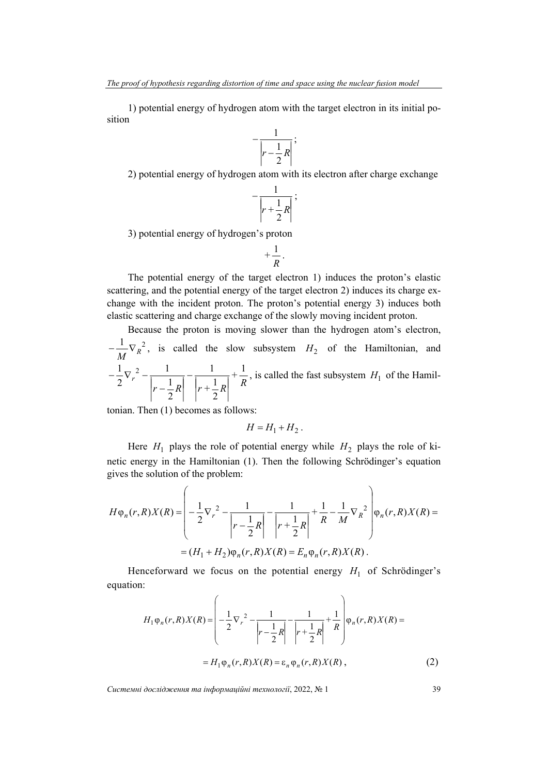1) potential energy of hydrogen atom with the target electron in its initial position

$$
-\frac{1}{\left|r-\frac{1}{2}R\right|};
$$

2) potential energy of hydrogen atom with its electron after charge exchange

$$
-\frac{1}{\left|r+\frac{1}{2}R\right|};
$$

3) potential energy of hydrogen's proton

$$
+\frac{1}{R}.
$$

The potential energy of the target electron 1) induces the proton's elastic scattering, and the potential energy of the target electron 2) induces its charge exchange with the incident proton. The proton's potential energy 3) induces both elastic scattering and charge exchange of the slowly moving incident proton.

Because the proton is moving slower than the hydrogen atom's electron,  $-\frac{1}{M}\nabla_R^2$ , is called the slow subsystem  $H_2$  of the Hamiltonian, and *R +*  $r - \frac{1}{2}R$   $r + \frac{1}{2}R$ *r* 1 2 1 1 2 1 1 2  $1\frac{1}{2}$  $\vert$  $\overline{\phantom{a}}$  $\left| \frac{1}{r+1}R \right|$  $\overline{\phantom{a}}$  $\overline{\phantom{a}}$  $\overline{a}$  $\cdot$  $\overline{\phantom{a}}$  $\left| \frac{1}{r-1}R \right|$  $\overline{1}$  $r -\frac{1}{2}\nabla_r^2 - \frac{1}{\left| \right| \left| \right| \left| \right| \left| \right| \left| \right| \left| \right| \left| \right| \left| \right| \left| \right| \right| \left| \right| \left| \right| \left| \right| \left| \right| \left| \right| \left| \right| \left| \right| \left| \right| \left| \right| \left| \right| \left| \right| \left| \right| \left| \right| \left| \right| \left| \right| \left| \right| \left| \right| \left| \right| \left| \right| \left| \right| \left| \right| \left| \right| \left| \right| \left| \right|$ 

tonian. Then (1) becomes as follows:

$$
H = H_1 + H_2.
$$

Here  $H_1$  plays the role of potential energy while  $H_2$  plays the role of kinetic energy in the Hamiltonian (1). Then the following Schrödinger's equation gives the solution of the problem:

$$
H\varphi_n(r,R)X(R) = \left(-\frac{1}{2}\nabla_r^2 - \frac{1}{|r-\frac{1}{2}R|} - \frac{1}{|r+\frac{1}{2}R|} + \frac{1}{R} - \frac{1}{M}\nabla_R^2\right)\varphi_n(r,R)X(R) =
$$
  
=  $(H_1 + H_2)\varphi_n(r,R)X(R) = E_n\varphi_n(r,R)X(R).$ 

Henceforward we focus on the potential energy  $H_1$  of Schrödinger's equation:

$$
H_1 \varphi_n(r, R) X(R) = \left( -\frac{1}{2} \nabla_r^2 - \frac{1}{\left| r - \frac{1}{2} R \right|} - \frac{1}{\left| r + \frac{1}{2} R \right|} + \frac{1}{R} \right) \varphi_n(r, R) X(R) =
$$
  
=  $H_1 \varphi_n(r, R) X(R) = \varepsilon_n \varphi_n(r, R) X(R)$ , (2)

*Системні дослідження та інформаційні технології*, 2022, № 1 39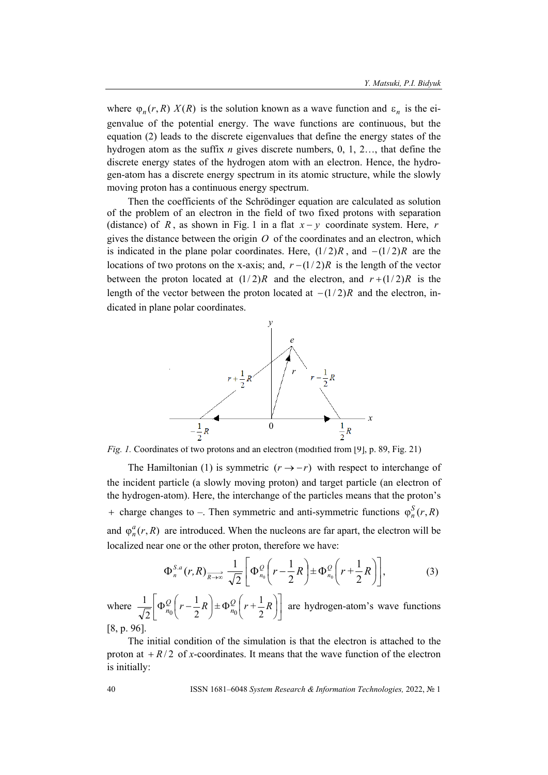where  $\varphi_n(r, R)$  *X*(*R*) is the solution known as a wave function and  $\varepsilon_n$  is the eigenvalue of the potential energy. The wave functions are continuous, but the equation (2) leads to the discrete eigenvalues that define the energy states of the hydrogen atom as the suffix *n* gives discrete numbers, 0, 1, 2…, that define the discrete energy states of the hydrogen atom with an electron. Hence, the hydrogen-atom has a discrete energy spectrum in its atomic structure, while the slowly moving proton has a continuous energy spectrum.

Then the coefficients of the Schrödinger equation are calculated as solution of the problem of an electron in the field of two fixed protons with separation (distance) of *R*, as shown in Fig. 1 in a flat  $x - y$  coordinate system. Here, *r* gives the distance between the origin *O* of the coordinates and an electron, which is indicated in the plane polar coordinates. Here,  $(1/2)R$ , and  $-(1/2)R$  are the locations of two protons on the x-axis; and,  $r - (1/2)R$  is the length of the vector between the proton located at  $(1/2)R$  and the electron, and  $r+(1/2)R$  is the length of the vector between the proton located at  $-(1/2)R$  and the electron, indicated in plane polar coordinates.



*Fig. 1.* Coordinates of two protons and an electron (modified from [9], p. 89, Fig. 21)

The Hamiltonian (1) is symmetric  $(r \rightarrow -r)$  with respect to interchange of the incident particle (a slowly moving proton) and target particle (an electron of the hydrogen-atom). Here, the interchange of the particles means that the proton's + charge changes to –. Then symmetric and anti-symmetric functions  $\varphi_n^S(r, R)$ and  $\varphi_n^a(r, R)$  are introduced. When the nucleons are far apart, the electron will be localized near one or the other proton, therefore we have:

$$
\Phi_n^{S.a}(r,R)_{\overrightarrow{R\rightarrow\infty}}\frac{1}{\sqrt{2}}\Bigg[\Phi_{n_0}^{\mathcal{Q}}\bigg(r-\frac{1}{2}R\bigg)\pm\Phi_{n_0}^{\mathcal{Q}}\bigg(r+\frac{1}{2}R\bigg)\Bigg],\tag{3}
$$

where  $\frac{1}{\sqrt{2}} \left[ \Phi_{n_0}^Q \left( r - \frac{1}{2} R \right) \pm \Phi_{n_0}^Q \left( r + \frac{1}{2} R \right) \right]$  $\left[\Phi_{n_0}^{\mathcal{Q}}\left(r-\frac{1}{2}R\right)\pm\Phi_{n_0}^{\mathcal{Q}}\left(r+\frac{1}{2}R\right)\right]$ J  $\left(r+\frac{1}{2}R\right)$  $\left(r-\frac{1}{2}R\right)\pm\Phi_{n_0}^Q\left(\frac{1}{2}R\right)$ J  $\Phi_{n_0}^Q\left(r-\frac{1}{2}R\right)\pm\Phi_{n_0}^Q\left(r+\frac{1}{2}R\right)$ *Q*  $n_0\binom{r-2}{2}$ 1 2 1 2  $\frac{1}{\sqrt{2}} \left[ \Phi_{n_0}^Q \left( r - \frac{1}{2} R \right) + \Phi_{n_0}^Q \left( r + \frac{1}{2} R \right) \right]$  are hydrogen-atom's wave functions [8, p. 96].

The initial condition of the simulation is that the electron is attached to the proton at  $+ R/2$  of *x*-coordinates. It means that the wave function of the electron is initially: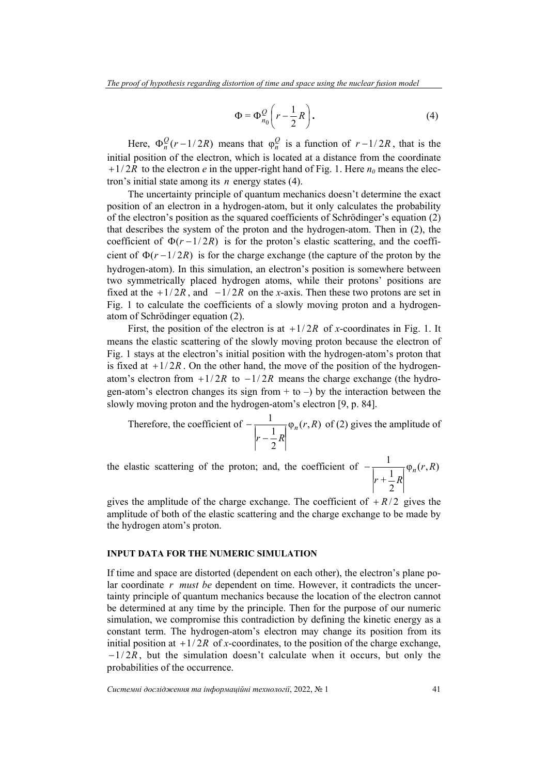$$
\Phi = \Phi_{n_0}^{\mathcal{Q}} \left( r - \frac{1}{2} R \right). \tag{4}
$$

Here,  $\Phi_n^Q(r-1/2R)$  means that  $\Phi_n^Q$  is a function of  $r-1/2R$ , that is the initial position of the electron, which is located at a distance from the coordinate  $1/2R$  to the electron *e* in the upper-right hand of Fig. 1. Here  $n_0$  means the electron's initial state among its *n* energy states (4).

The uncertainty principle of quantum mechanics doesn't determine the exact position of an electron in a hydrogen-atom, but it only calculates the probability of the electron's position as the squared coefficients of Schrödinger's equation (2) that describes the system of the proton and the hydrogen-atom. Then in (2), the coefficient of  $\Phi(r-1/2R)$  is for the proton's elastic scattering, and the coefficient of  $\Phi(r-1/2R)$  is for the charge exchange (the capture of the proton by the hydrogen-atom). In this simulation, an electron's position is somewhere between two symmetrically placed hydrogen atoms, while their protons' positions are fixed at the  $\frac{1}{2R}$ , and  $\frac{-1}{2R}$  on the *x*-axis. Then these two protons are set in Fig. 1 to calculate the coefficients of a slowly moving proton and a hydrogenatom of Schrödinger equation (2).

First, the position of the electron is at  $+1/2R$  of *x*-coordinates in Fig. 1. It means the elastic scattering of the slowly moving proton because the electron of Fig. 1 stays at the electron's initial position with the hydrogen-atom's proton that is fixed at  $\pm 1/2R$ . On the other hand, the move of the position of the hydrogenatom's electron from  $+1/2R$  to  $-1/2R$  means the charge exchange (the hydrogen-atom's electron changes its sign from  $+$  to  $-$ ) by the interaction between the slowly moving proton and the hydrogen-atom's electron [9, p. 84].

Therefore, the coefficient of 
$$
-\frac{1}{\left|r - \frac{1}{2}R\right|}\varphi_n(r, R)
$$
 of (2) gives the amplitude of

the elastic scattering of the proton; and, the coefficient of  $-\frac{1}{\sqrt{2}} \varphi_n(r, R)$ 2 1  $\frac{1}{\lambda}$   $\varphi_n(r, R)$  $r + \frac{1}{2}R$  $\overline{R}$ <sup> $\psi_n$ </sup>  $\overline{\phantom{a}}$  $r + \frac{1}{R}R$  $\overline{\phantom{a}}$  $\overline{\phantom{a}}$  $\overline{a}$ 

gives the amplitude of the charge exchange. The coefficient of  $+ R/2$  gives the amplitude of both of the elastic scattering and the charge exchange to be made by the hydrogen atom's proton.

## **INPUT DATA FOR THE NUMERIC SIMULATION**

If time and space are distorted (dependent on each other), the electron's plane polar coordinate *r must be* dependent on time. However, it contradicts the uncertainty principle of quantum mechanics because the location of the electron cannot be determined at any time by the principle. Then for the purpose of our numeric simulation, we compromise this contradiction by defining the kinetic energy as a constant term. The hydrogen-atom's electron may change its position from its initial position at  $1/2R$  of *x*-coordinates, to the position of the charge exchange,  $-1/2R$ , but the simulation doesn't calculate when it occurs, but only the probabilities of the occurrence.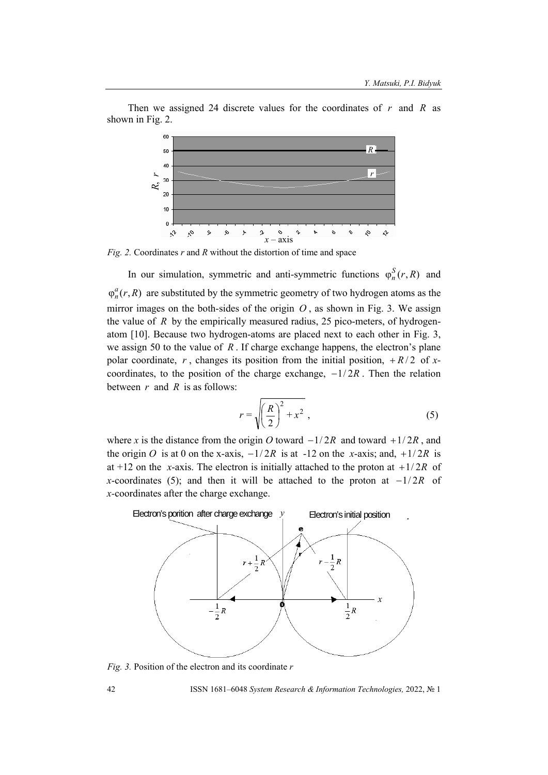Then we assigned 24 discrete values for the coordinates of *r* and *R* as shown in Fig. 2.



*Fig. 2.* Coordinates *r* and *R* without the distortion of time and space

In our simulation, symmetric and anti-symmetric functions  $\varphi_n^S(r, R)$  and  $\varphi_n^a(r, R)$  are substituted by the symmetric geometry of two hydrogen atoms as the mirror images on the both-sides of the origin  $O$ , as shown in Fig. 3. We assign the value of *R* by the empirically measured radius, 25 pico-meters, of hydrogenatom [10]. Because two hydrogen-atoms are placed next to each other in Fig. 3, we assign 50 to the value of *R* . If charge exchange happens, the electron's plane polar coordinate, *r*, changes its position from the initial position,  $+R/2$  of *x*coordinates, to the position of the charge exchange,  $-1/2R$ . Then the relation between *r* and *R* is as follows:

$$
r = \sqrt{\left(\frac{R}{2}\right)^2 + x^2} \tag{5}
$$

where *x* is the distance from the origin *O* toward  $-1/2R$  and toward  $+1/2R$ , and the origin *O* is at 0 on the x-axis,  $-1/2R$  is at -12 on the *x*-axis; and,  $+1/2R$  is at +12 on the *x*-axis. The electron is initially attached to the proton at  $+1/2R$  of *x*-coordinates (5); and then it will be attached to the proton at  $-1/2R$  of *x-*coordinates after the charge exchange.



*Fig. 3.* Position of the electron and its coordinate *r*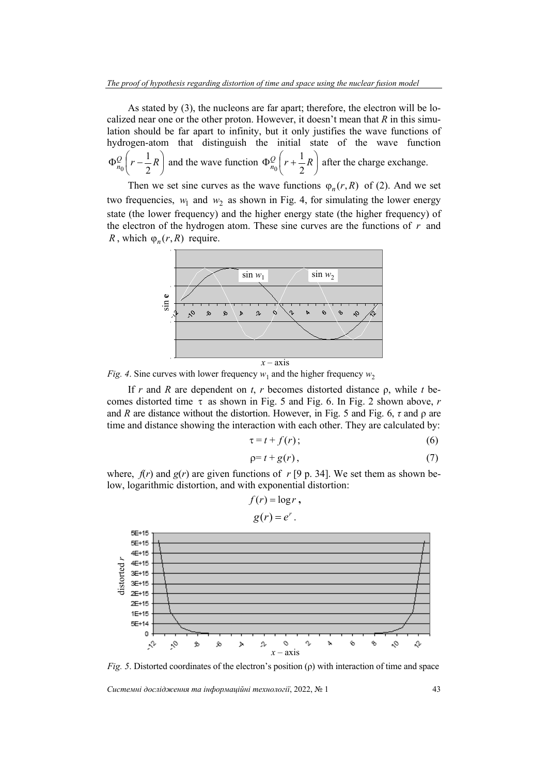As stated by (3), the nucleons are far apart; therefore, the electron will be localized near one or the other proton. However, it doesn't mean that *R* in this simulation should be far apart to infinity, but it only justifies the wave functions of hydrogen-atom that distinguish the initial state of the wave function J J  $\left(r-\frac{1}{2}R\right)$  $\setminus$  $\Phi_{n}^{\mathcal{Q}}\left(r-\frac{1}{2}R\right)$  $n_0\binom{r-2}{r}$ 1  $\frac{d}{d} \left[ r - \frac{1}{2} R \right]$  and the wave function  $\Phi_{n_0}^Q \left[ r + \frac{1}{2} R \right]$ J  $\left(r+\frac{1}{2}R\right)$  $\setminus$  $\Phi_{n}^{\mathcal{Q}}\left(r+\frac{1}{2}R\right)$  $n_0$ <sup> $\begin{pmatrix} 1 & 1 \\ 2 & 2 \end{pmatrix}$ </sup>  $\frac{1}{2} \left( r + \frac{1}{2} R \right)$  after the charge exchange.

Then we set sine curves as the wave functions  $\varphi_n(r, R)$  of (2). And we set two frequencies,  $w_1$  and  $w_2$  as shown in Fig. 4, for simulating the lower energy state (the lower frequency) and the higher energy state (the higher frequency) of the electron of the hydrogen atom. These sine curves are the functions of *r* and *R*, which  $\varphi_n(r, R)$  require.



*Fig. 4.* Sine curves with lower frequency  $w_1$  and the higher frequency  $w_2$ 

If *r* and *R* are dependent on *t*, *r* becomes distorted distance ρ, while *t* becomes distorted time  $\tau$  as shown in Fig. 5 and Fig. 6. In Fig. 2 shown above, *r* and *R* are distance without the distortion. However, in Fig. 5 and Fig. 6,  $\tau$  and  $\rho$  are time and distance showing the interaction with each other. They are calculated by:

$$
\tau = t + f(r); \tag{6}
$$

$$
\rho = t + g(r),\tag{7}
$$

where,  $f(r)$  and  $g(r)$  are given functions of  $r$  [9 p. 34]. We set them as shown below, logarithmic distortion, and with exponential distortion:

$$
f(r) = \log r,
$$
  
 
$$
g(r) = e^r.
$$



*Fig. 5*. Distorted coordinates of the electron's position (ρ) with interaction of time and space

*Системні дослідження та інформаційні технології*, 2022, № 1 43

**5E+15** 5E+15 4E+15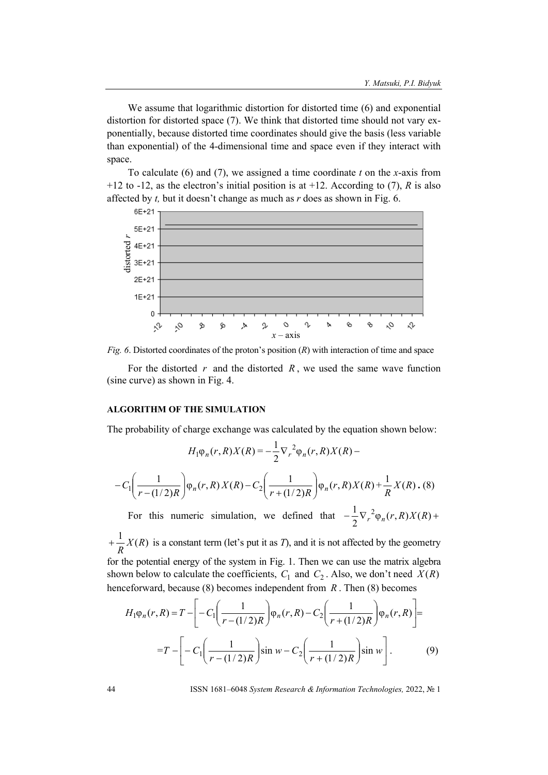We assume that logarithmic distortion for distorted time (6) and exponential distortion for distorted space (7). We think that distorted time should not vary exponentially, because distorted time coordinates should give the basis (less variable than exponential) of the 4-dimensional time and space even if they interact with space.

To calculate (6) and (7), we assigned a time coordinate *t* on the *x*-axis from +12 to -12, as the electron's initial position is at +12. According to (7), *R* is also affected by *t,* but it doesn't change as much as *r* does as shown in Fig. 6.



*Fig. 6*. Distorted coordinates of the proton's position (*R*) with interaction of time and space

For the distorted *r* and the distorted *R* , we used the same wave function (sine curve) as shown in Fig. 4.

## **ALGORITHM OF THE SIMULATION**

The probability of charge exchange was calculated by the equation shown below:

$$
H_1 \varphi_n(r, R) X(R) = -\frac{1}{2} \nabla_r^2 \varphi_n(r, R) X(R) - C_1 \left( \frac{1}{r - (1/2)R} \right) \varphi_n(r, R) X(R) + \frac{1}{R} X(R) . (8)
$$

For this numeric simulation, we defined that  $-\frac{1}{2} \nabla_r^2 \varphi_n(r, R) X(R)$ + 2  $\frac{1}{2} \nabla_r^2 \varphi_n(r, R) X(R)$ 

 $\frac{1}{R}X(R)$ *R*  $\frac{1}{2}$   $\frac{1}{2}$   $X(R)$  is a constant term (let's put it as *T*), and it is not affected by the geometry for the potential energy of the system in Fig. 1. Then we can use the matrix algebra

shown below to calculate the coefficients,  $C_1$  and  $C_2$ . Also, we don't need  $X(R)$ henceforward, because (8) becomes independent from *R* . Then (8) becomes

$$
H_1 \varphi_n(r, R) = T - \left[ -C_1 \left( \frac{1}{r - (1/2)R} \right) \varphi_n(r, R) - C_2 \left( \frac{1}{r + (1/2)R} \right) \varphi_n(r, R) \right] =
$$
  
=  $T - \left[ -C_1 \left( \frac{1}{r - (1/2)R} \right) \sin w - C_2 \left( \frac{1}{r + (1/2)R} \right) \sin w \right].$  (9)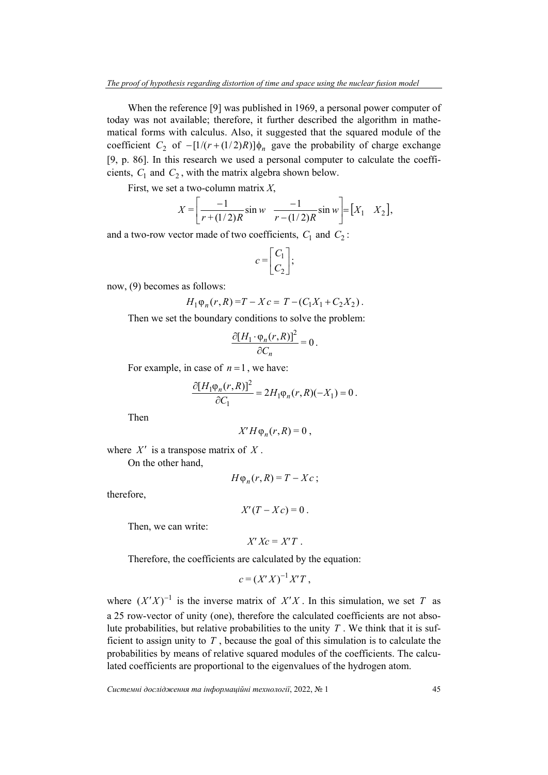When the reference [9] was published in 1969, a personal power computer of today was not available; therefore, it further described the algorithm in mathematical forms with calculus. Also, it suggested that the squared module of the coefficient *C*<sub>2</sub> of  $- [1/(r + (1/2)R)] \phi_n$  gave the probability of charge exchange [9, p. 86]. In this research we used a personal computer to calculate the coefficients,  $C_1$  and  $C_2$ , with the matrix algebra shown below.

First, we set a two-column matrix *X*,

$$
X = \left[ \frac{-1}{r + (1/2)R} \sin w - \frac{-1}{r - (1/2)R} \sin w \right] = [X_1 \quad X_2],
$$

and a two-row vector made of two coefficients,  $C_1$  and  $C_2$ :

$$
c = \begin{bmatrix} C_1 \\ C_2 \end{bmatrix};
$$

now, (9) becomes as follows:

$$
H_1\varphi_n(r,R)=T-Xc=T-(C_1X_1+C_2X_2).
$$

Then we set the boundary conditions to solve the problem:

$$
\frac{\partial [H_1 \cdot \varphi_n(r,R)]^2}{\partial C_n} = 0.
$$

For example, in case of  $n = 1$ , we have:

$$
\frac{\partial [H_1 \varphi_n(r,R)]^2}{\partial C_1} = 2H_1 \varphi_n(r,R)(-X_1) = 0.
$$

Then

$$
X'H\varphi_n(r,R)=0\ ,
$$

where  $X'$  is a transpose matrix of  $X$ . On the other hand,

$$
H\varphi_n(r,R)=T-Xc\,;
$$

therefore,

 $X'(T - Xc) = 0$ .

Then, we can write:

$$
X'Xc=X'T.
$$

Therefore, the coefficients are calculated by the equation:

$$
c = (X'X)^{-1}X'T,
$$

where  $(X'X)^{-1}$  is the inverse matrix of  $X'X$ . In this simulation, we set *T* as a 25 row-vector of unity (one), therefore the calculated coefficients are not absolute probabilities, but relative probabilities to the unity *T* . We think that it is sufficient to assign unity to *T* , because the goal of this simulation is to calculate the probabilities by means of relative squared modules of the coefficients. The calculated coefficients are proportional to the eigenvalues of the hydrogen atom.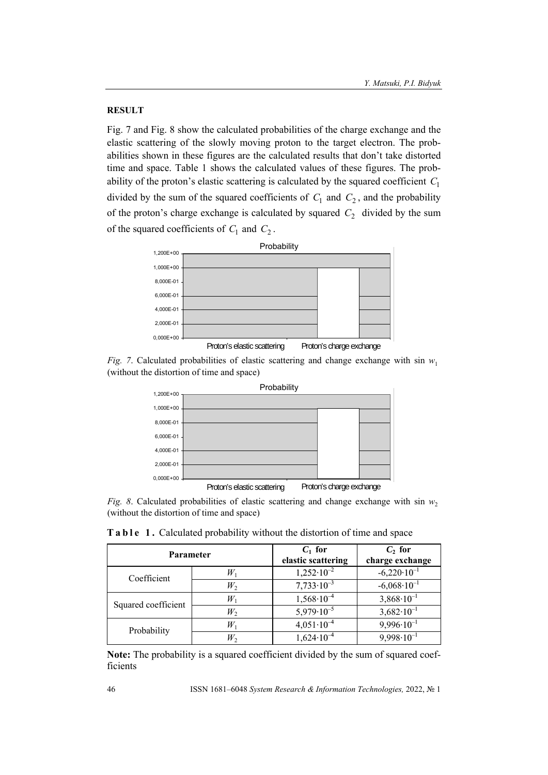## **RESULT**

Fig. 7 and Fig. 8 show the calculated probabilities of the charge exchange and the elastic scattering of the slowly moving proton to the target electron. The probabilities shown in these figures are the calculated results that don't take distorted time and space. Table 1 shows the calculated values of these figures. The probability of the proton's elastic scattering is calculated by the squared coefficient *C*<sup>1</sup> divided by the sum of the squared coefficients of  $C_1$  and  $C_2$ , and the probability of the proton's charge exchange is calculated by squared  $C_2$  divided by the sum of the squared coefficients of  $C_1$  and  $C_2$ .







*Fig. 8.* Calculated probabilities of elastic scattering and change exchange with sin  $w_2$ (without the distortion of time and space)

**Table 1.** Calculated probability without the distortion of time and space

| <b>Parameter</b>    |       | $C_1$ for<br>elastic scattering | $C2$ for<br>charge exchange |
|---------------------|-------|---------------------------------|-----------------------------|
| Coefficient         | $W_1$ | $1,252 \cdot 10^{-2}$           | $-6,220 \cdot 10^{-1}$      |
|                     | $W_2$ | $7,733 \cdot 10^{-3}$           | $-6,068\cdot10^{-1}$        |
| Squared coefficient | $W_1$ | $1,568 \cdot 10^{-4}$           | $3,868 \cdot 10^{-1}$       |
|                     | $W_2$ | $5,979.10^{-5}$                 | $3,682 \cdot 10^{-1}$       |
| Probability         | $W_1$ | $4,051\cdot10^{-4}$             | $9,996 \cdot 10^{-1}$       |
|                     | $W_2$ | $1,624 \cdot 10^{-4}$           | $9,998\cdot10^{-1}$         |

**Note:** The probability is a squared coefficient divided by the sum of squared coefficients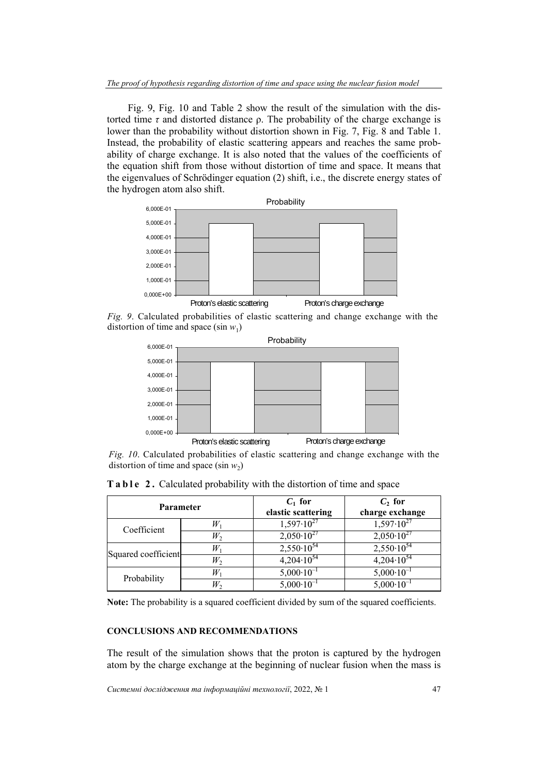Fig. 9, Fig. 10 and Table 2 show the result of the simulation with the distorted time  $\tau$  and distorted distance  $\rho$ . The probability of the charge exchange is lower than the probability without distortion shown in Fig. 7, Fig. 8 and Table 1. Instead, the probability of elastic scattering appears and reaches the same probability of charge exchange. It is also noted that the values of the coefficients of the equation shift from those without distortion of time and space. It means that the eigenvalues of Schrödinger equation (2) shift, i.e., the discrete energy states of the hydrogen atom also shift.



*Fig. 9*. Calculated probabilities of elastic scattering and change exchange with the distortion of time and space (sin  $w_1$ )



*Fig. 10*. Calculated probabilities of elastic scattering and change exchange with the distortion of time and space (sin  $w_2$ )

| <b>Parameter</b>    |       | $C_1$ for<br>elastic scattering | $C_2$ for<br>charge exchange |
|---------------------|-------|---------------------------------|------------------------------|
| Coefficient         | $W_1$ | $1,597.10^{27}$                 | $1,597.10^{27}$              |
|                     | $W_2$ | $2,050 \cdot 10^{27}$           | $2,050 \cdot 10^{27}$        |
| Squared coefficient | $W_1$ | $2,550 \cdot 10^{54}$           | $2,550\cdot10^{54}$          |
|                     | $W_2$ | $4,204\cdot10^{54}$             | $4,204\cdot10^{54}$          |
| Probability         | $W_1$ | $5,000 \cdot 10^{-1}$           | $5,000 \cdot 10^{-1}$        |
|                     | W,    | $5,000 \cdot 10^{-1}$           | $5,000 \cdot 10^{-1}$        |

**Table 2.** Calculated probability with the distortion of time and space

**Note:** The probability is a squared coefficient divided by sum of the squared coefficients.

## **CONCLUSIONS AND RECOMMENDATIONS**

The result of the simulation shows that the proton is captured by the hydrogen atom by the charge exchange at the beginning of nuclear fusion when the mass is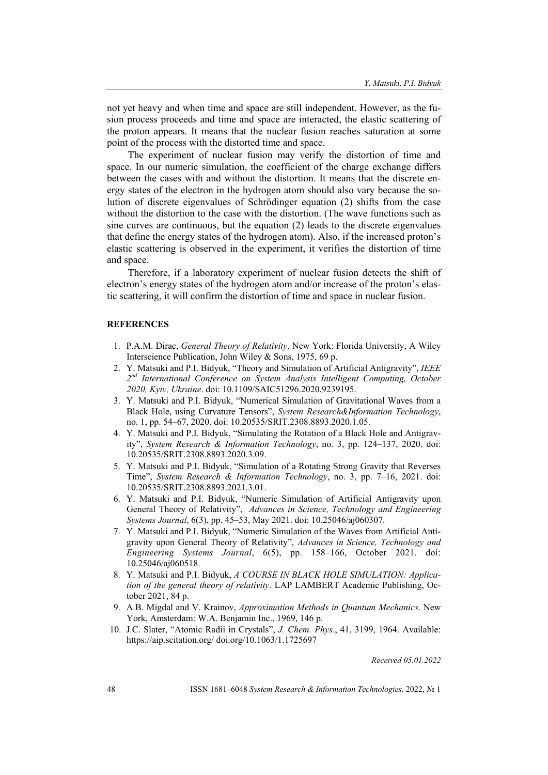not yet heavy and when time and space are still independent. However, as the fusion process proceeds and time and space are interacted, the elastic scattering of the proton appears. It means that the nuclear fusion reaches saturation at some point of the process with the distorted time and space.

The experiment of nuclear fusion may verify the distortion of time and space. In our numeric simulation, the coefficient of the charge exchange differs between the cases with and without the distortion. It means that the discrete energy states of the electron in the hydrogen atom should also vary because the solution of discrete eigenvalues of Schrödinger equation (2) shifts from the case without the distortion to the case with the distortion. (The wave functions such as sine curves are continuous, but the equation (2) leads to the discrete eigenvalues that define the energy states of the hydrogen atom). Also, if the increased proton's elastic scattering is observed in the experiment, it verifies the distortion of time and space.

Therefore, if a laboratory experiment of nuclear fusion detects the shift of electron's energy states of the hydrogen atom and/or increase of the proton's elastic scattering, it will confirm the distortion of time and space in nuclear fusion.

#### **REFERENCES**

- 1. P.A.M. Dirac, *General Theory of Relativity*. New York: Florida University, A Wiley Interscience Publication, John Wiley & Sons, 1975, 69 p.
- 2. Y. Matsuki and P.I. Bidyuk, "Theory and Simulation of Artificial Antigravity", *IEEE 2nd International Conference on System Analysis Intelligent Computing, October 2020, Kyiv, Ukraine*. doi: 10.1109/SAIC51296.2020.9239195.
- 3. Y. Matsuki and P.I. Bidyuk, "Numerical Simulation of Gravitational Waves from a Black Hole, using Curvature Tensors", *System Research&Information Technology*, no. 1, pp. 54–67, 2020. doi: 10.20535/SRIT.2308.8893.2020.1.05.
- 4. Y. Matsuki and P.I. Bidyuk, "Simulating the Rotation of a Black Hole and Antigravity", *System Research & Information Technology*, no. 3, pp. 124–137, 2020. doi: 10.20535/SRIT.2308.8893.2020.3.09.
- 5. Y. Matsuki and P.I. Bidyuk, "Simulation of a Rotating Strong Gravity that Reverses Time", *System Research & Information Technology*, no. 3, pp. 7–16, 2021. doi: 10.20535/SRIT.2308.8893.2021.3.01.
- 6. Y. Matsuki and P.I. Bidyuk, "Numeric Simulation of Artificial Antigravity upon General Theory of Relativity", *Advances in Science, Technology and Engineering Systems Journal*, 6(3), pp. 45–53, May 2021. doi: 10.25046/aj060307.
- 7. Y. Matsuki and P.I. Bidyuk, "Numeric Simulation of the Waves from Artificial Antigravity upon General Theory of Relativity", *Advances in Science, Technology and Engineering Systems Journal*, 6(5), pp. 158–166, October 2021. doi: 10.25046/aj060518.
- 8. Y. Matsuki and P.I. Bidyuk, *A COURSE IN BLACK HOLE SIMULATION: Application of the general theory of relativity*. LAP LAMBERT Academic Publishing, October 2021, 84 p.
- 9. A.B. Migdal and V. Krainov, *Approximation Methods in Quantum Mechanics*. New York, Amsterdam: W.A. Benjamin Inc., 1969, 146 p.
- 10. J.C. Slater, "Atomic Radii in Crystals", *J. Chem. Phys.*, 41, 3199, 1964. Available: https://aip.scitation.org/ doi.org/10.1063/1.1725697

*Received 05.01.2022*